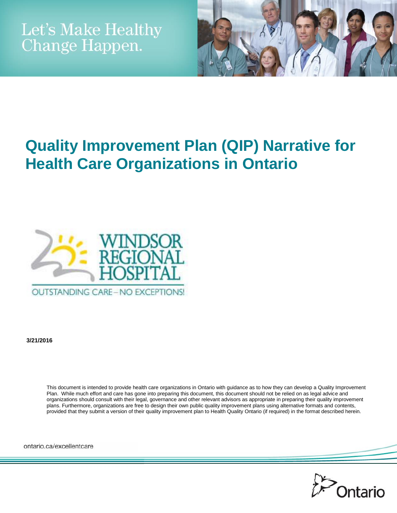

# **Quality Improvement Plan (QIP) Narrative for Health Care Organizations in Ontario**



**3/21/2016**

This document is intended to provide health care organizations in Ontario with guidance as to how they can develop a Quality Improvement Plan. While much effort and care has gone into preparing this document, this document should not be relied on as legal advice and organizations should consult with their legal, governance and other relevant advisors as appropriate in preparing their quality improvement plans. Furthermore, organizations are free to design their own public quality improvement plans using alternative formats and contents, provided that they submit a version of their quality improvement plan to Health Quality Ontario (if required) in the format described herein.

ontario.ca/excellentcare

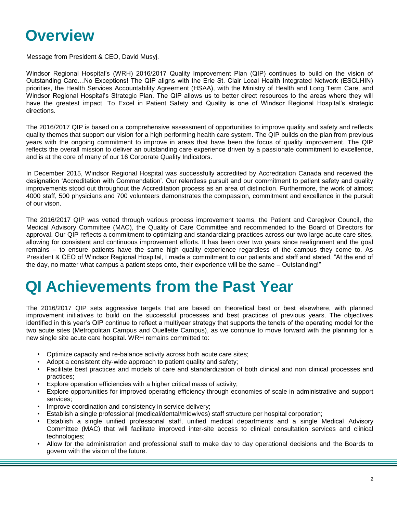### **Overview**

Message from President & CEO, David Musyj.

Windsor Regional Hospital's (WRH) 2016/2017 Quality Improvement Plan (QIP) continues to build on the vision of Outstanding Care…No Exceptions! The QIP aligns with the Erie St. Clair Local Health Integrated Network (ESCLHIN) priorities, the Health Services Accountability Agreement (HSAA), with the Ministry of Health and Long Term Care, and Windsor Regional Hospital's Strategic Plan. The QIP allows us to better direct resources to the areas where they will have the greatest impact. To Excel in Patient Safety and Quality is one of Windsor Regional Hospital's strategic directions.

The 2016/2017 QIP is based on a comprehensive assessment of opportunities to improve quality and safety and reflects quality themes that support our vision for a high performing health care system. The QIP builds on the plan from previous years with the ongoing commitment to improve in areas that have been the focus of quality improvement. The QIP reflects the overall mission to deliver an outstanding care experience driven by a passionate commitment to excellence, and is at the core of many of our 16 Corporate Quality Indicators.

In December 2015, Windsor Regional Hospital was successfully accredited by Accreditation Canada and received the designation 'Accreditation with Commendation'. Our relentless pursuit and our commitment to patient safety and quality improvements stood out throughout the Accreditation process as an area of distinction. Furthermore, the work of almost 4000 staff, 500 physicians and 700 volunteers demonstrates the compassion, commitment and excellence in the pursuit of our vison.

The 2016/2017 QIP was vetted through various process improvement teams, the Patient and Caregiver Council, the Medical Advisory Committee (MAC), the Quality of Care Committee and recommended to the Board of Directors for approval. Our QIP reflects a commitment to optimizing and standardizing practices across our two large acute care sites, allowing for consistent and continuous improvement efforts. It has been over two years since realignment and the goal remains – to ensure patients have the same high quality experience regardless of the campus they come to. As President & CEO of Windsor Regional Hospital, I made a commitment to our patients and staff and stated, "At the end of the day, no matter what campus a patient steps onto, their experience will be the same – Outstanding!"

## **QI Achievements from the Past Year**

The 2016/2017 QIP sets aggressive targets that are based on theoretical best or best elsewhere, with planned improvement initiatives to build on the successful processes and best practices of previous years. The objectives identified in this year's QIP continue to reflect a multiyear strategy that supports the tenets of the operating model for the two acute sites (Metropolitan Campus and Ouellette Campus), as we continue to move forward with the planning for a new single site acute care hospital. WRH remains committed to:

- Optimize capacity and re-balance activity across both acute care sites;
- Adopt a consistent city-wide approach to patient quality and safety;
- Facilitate best practices and models of care and standardization of both clinical and non clinical processes and practices;
- Explore operation efficiencies with a higher critical mass of activity;
- Explore opportunities for improved operating efficiency through economies of scale in administrative and support services;
- Improve coordination and consistency in service delivery;
- Establish a single professional (medical/dental/midwives) staff structure per hospital corporation;
- Establish a single unified professional staff, unified medical departments and a single Medical Advisory Committee (MAC) that will facilitate improved inter-site access to clinical consultation services and clinical technologies;
- Allow for the administration and professional staff to make day to day operational decisions and the Boards to govern with the vision of the future.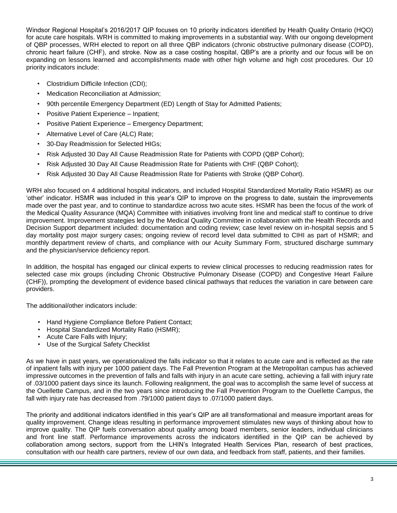Windsor Regional Hospital's 2016/2017 QIP focuses on 10 priority indicators identified by Health Quality Ontario (HQO) for acute care hospitals. WRH is committed to making improvements in a substantial way. With our ongoing development of QBP processes, WRH elected to report on all three QBP indicators (chronic obstructive pulmonary disease (COPD), chronic heart failure (CHF), and stroke. Now as a case costing hospital, QBP's are a priority and our focus will be on expanding on lessons learned and accomplishments made with other high volume and high cost procedures. Our 10 priority indicators include:

- Clostridium Difficile Infection (CDI);
- Medication Reconciliation at Admission;
- 90th percentile Emergency Department (ED) Length of Stay for Admitted Patients;
- Positive Patient Experience Inpatient;
- Positive Patient Experience Emergency Department;
- Alternative Level of Care (ALC) Rate;
- 30-Day Readmission for Selected HIGs;
- Risk Adjusted 30 Day All Cause Readmission Rate for Patients with COPD (QBP Cohort);
- Risk Adjusted 30 Day All Cause Readmission Rate for Patients with CHF (QBP Cohort);
- Risk Adjusted 30 Day All Cause Readmission Rate for Patients with Stroke (QBP Cohort).

WRH also focused on 4 additional hospital indicators, and included Hospital Standardized Mortality Ratio HSMR) as our 'other' indicator. HSMR was included in this year's QIP to improve on the progress to date, sustain the improvements made over the past year, and to continue to standardize across two acute sites. HSMR has been the focus of the work of the Medical Quality Assurance (MQA) Committee with initiatives involving front line and medical staff to continue to drive improvement. Improvement strategies led by the Medical Quality Committee in collaboration with the Health Records and Decision Support department included: documentation and coding review; case level review on in-hospital sepsis and 5 day mortality post major surgery cases; ongoing review of record level data submitted to CIHI as part of HSMR; and monthly department review of charts, and compliance with our Acuity Summary Form, structured discharge summary and the physician/service deficiency report.

In addition, the hospital has engaged our clinical experts to review clinical processes to reducing readmission rates for selected case mix groups (including Chronic Obstructive Pulmonary Disease (COPD) and Congestive Heart Failure (CHF)), prompting the development of evidence based clinical pathways that reduces the variation in care between care providers.

The additional/other indicators include:

- Hand Hygiene Compliance Before Patient Contact;
- Hospital Standardized Mortality Ratio (HSMR);
- Acute Care Falls with Injury;
- Use of the Surgical Safety Checklist

As we have in past years, we operationalized the falls indicator so that it relates to acute care and is reflected as the rate of inpatient falls with injury per 1000 patient days. The Fall Prevention Program at the Metropolitan campus has achieved impressive outcomes in the prevention of falls and falls with injury in an acute care setting, achieving a fall with injury rate of .03/1000 patient days since its launch. Following realignment, the goal was to accomplish the same level of success at the Ouellette Campus, and in the two years since introducing the Fall Prevention Program to the Ouellette Campus, the fall with injury rate has decreased from .79/1000 patient days to .07/1000 patient days.

The priority and additional indicators identified in this year's QIP are all transformational and measure important areas for quality improvement. Change ideas resulting in performance improvement stimulates new ways of thinking about how to improve quality. The QIP fuels conversation about quality among board members, senior leaders, individual clinicians and front line staff. Performance improvements across the indicators identified in the QIP can be achieved by collaboration among sectors, support from the LHIN's Integrated Health Services Plan, research of best practices, consultation with our health care partners, review of our own data, and feedback from staff, patients, and their families.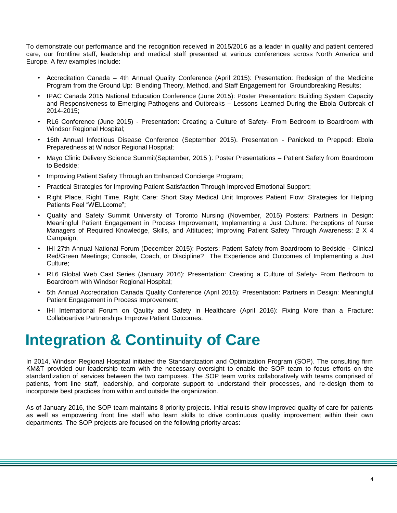To demonstrate our performance and the recognition received in 2015/2016 as a leader in quality and patient centered care, our frontline staff, leadership and medical staff presented at various conferences across North America and Europe. A few examples include:

- Accreditation Canada 4th Annual Quality Conference (April 2015): Presentation: Redesign of the Medicine Program from the Ground Up: Blending Theory, Method, and Staff Engagement for Groundbreaking Results;
- IPAC Canada 2015 National Education Conference (June 2015): Poster Presentation: Building System Capacity and Responsiveness to Emerging Pathogens and Outbreaks – Lessons Learned During the Ebola Outbreak of 2014-2015;
- RL6 Conference (June 2015) Presentation: Creating a Culture of Safety- From Bedroom to Boardroom with Windsor Regional Hospital;
- 16th Annual Infectious Disease Conference (September 2015). Presentation Panicked to Prepped: Ebola Preparedness at Windsor Regional Hospital;
- Mayo Clinic Delivery Science Summit(September, 2015 ): Poster Presentations Patient Safety from Boardroom to Bedside;
- Improving Patient Safety Through an Enhanced Concierge Program;
- Practical Strategies for Improving Patient Satisfaction Through Improved Emotional Support;
- Right Place, Right Time, Right Care: Short Stay Medical Unit Improves Patient Flow; Strategies for Helping Patients Feel "WELLcome";
- Quality and Safety Summit University of Toronto Nursing (November, 2015) Posters: Partners in Design: Meaningful Patient Engagement in Process Improvement; Implementing a Just Culture: Perceptions of Nurse Managers of Required Knowledge, Skills, and Attitudes; Improving Patient Safety Through Awareness: 2 X 4 Campaign;
- IHI 27th Annual National Forum (December 2015): Posters: Patient Safety from Boardroom to Bedside Clinical Red/Green Meetings; Console, Coach, or Discipline? The Experience and Outcomes of Implementing a Just Culture;
- RL6 Global Web Cast Series (January 2016): Presentation: Creating a Culture of Safety- From Bedroom to Boardroom with Windsor Regional Hospital;
- 5th Annual Accreditation Canada Quality Conference (April 2016): Presentation: Partners in Design: Meaningful Patient Engagement in Process Improvement;
- IHI International Forum on Qaulity and Safety in Healthcare (April 2016): Fixing More than a Fracture: Collaboartive Partnerships Improve Patient Outcomes.

## **Integration & Continuity of Care**

In 2014, Windsor Regional Hospital initiated the Standardization and Optimization Program (SOP). The consulting firm KM&T provided our leadership team with the necessary oversight to enable the SOP team to focus efforts on the standardization of services between the two campuses. The SOP team works collaboratively with teams comprised of patients, front line staff, leadership, and corporate support to understand their processes, and re-design them to incorporate best practices from within and outside the organization.

As of January 2016, the SOP team maintains 8 priority projects. Initial results show improved quality of care for patients as well as empowering front line staff who learn skills to drive continuous quality improvement within their own departments. The SOP projects are focused on the following priority areas: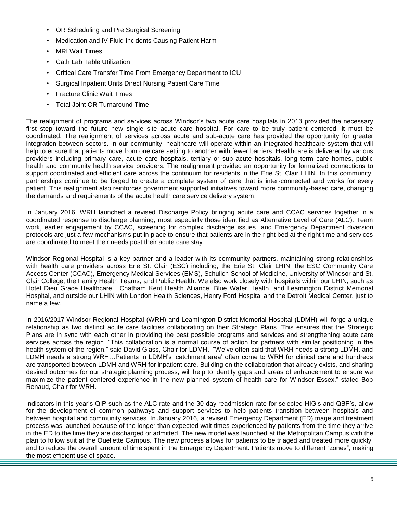- OR Scheduling and Pre Surgical Screening
- Medication and IV Fluid Incidents Causing Patient Harm
- MRI Wait Times
- Cath Lab Table Utilization
- Critical Care Transfer Time From Emergency Department to ICU
- Surgical Inpatient Units Direct Nursing Patient Care Time
- Fracture Clinic Wait Times
- Total Joint OR Turnaround Time

The realignment of programs and services across Windsor's two acute care hospitals in 2013 provided the necessary first step toward the future new single site acute care hospital. For care to be truly patient centered, it must be coordinated. The realignment of services across acute and sub-acute care has provided the opportunity for greater integration between sectors. In our community, healthcare will operate within an integrated healthcare system that will help to ensure that patients move from one care setting to another with fewer barriers. Healthcare is delivered by various providers including primary care, acute care hospitals, tertiary or sub acute hospitals, long term care homes, public health and community health service providers. The realignment provided an opportunity for formalized connections to support coordinated and efficient care across the continuum for residents in the Erie St. Clair LHIN. In this community, partnerships continue to be forged to create a complete system of care that is inter-connected and works for every patient. This realignment also reinforces government supported initiatives toward more community-based care, changing the demands and requirements of the acute health care service delivery system.

In January 2016, WRH launched a revised Discharge Policy bringing acute care and CCAC services together in a coordinated response to discharge planning, most especially those identified as Alternative Level of Care (ALC). Team work, earlier engagement by CCAC, screening for complex discharge issues, and Emergency Department diversion protocols are just a few mechanisms put in place to ensure that patients are in the right bed at the right time and services are coordinated to meet their needs post their acute care stay.

Windsor Regional Hospital is a key partner and a leader with its community partners, maintaining strong relationships with health care providers across Erie St. Clair (ESC) including; the Erie St. Clair LHIN, the ESC Community Care Access Center (CCAC), Emergency Medical Services (EMS), Schulich School of Medicine, University of Windsor and St. Clair College, the Family Health Teams, and Public Health. We also work closely with hospitals within our LHIN, such as Hotel Dieu Grace Healthcare, Chatham Kent Health Alliance, Blue Water Health, and Leamington District Memorial Hospital, and outside our LHIN with London Health Sciences, Henry Ford Hospital and the Detroit Medical Center, just to name a few.

In 2016/2017 Windsor Regional Hospital (WRH) and Leamington District Memorial Hospital (LDMH) will forge a unique relationship as two distinct acute care facilities collaborating on their Strategic Plans. This ensures that the Strategic Plans are in sync with each other in providing the best possible programs and services and strengthening acute care services across the region. "This collaboration is a normal course of action for partners with similar positioning in the health system of the region," said David Glass, Chair for LDMH. "We've often said that WRH needs a strong LDMH, and LDMH needs a strong WRH…Patients in LDMH's 'catchment area' often come to WRH for clinical care and hundreds are transported between LDMH and WRH for inpatient care. Building on the collaboration that already exists, and sharing desired outcomes for our strategic planning process, will help to identify gaps and areas of enhancement to ensure we maximize the patient centered experience in the new planned system of health care for Windsor Essex," stated Bob Renaud, Chair for WRH.

Indicators in this year's QIP such as the ALC rate and the 30 day readmission rate for selected HIG's and QBP's, allow for the development of common pathways and support services to help patients transition between hospitals and between hospital and community services. In January 2016, a revised Emergency Department (ED) triage and treatment process was launched because of the longer than expected wait times experienced by patients from the time they arrive in the ED to the time they are discharged or admitted. The new model was launched at the Metropolitan Campus with the plan to follow suit at the Ouellette Campus. The new process allows for patients to be triaged and treated more quickly, and to reduce the overall amount of time spent in the Emergency Department. Patients move to different "zones", making the most efficient use of space.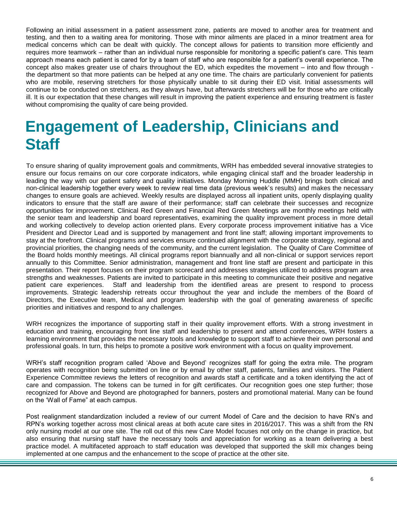Following an initial assessment in a patient assessment zone, patients are moved to another area for treatment and testing, and then to a waiting area for monitoring. Those with minor ailments are placed in a minor treatment area for medical concerns which can be dealt with quickly. The concept allows for patients to transition more efficiently and requires more teamwork – rather than an individual nurse responsible for monitoring a specific patient's care. This team approach means each patient is cared for by a team of staff who are responsible for a patient's overall experience. The concept also makes greater use of chairs throughout the ED, which expedites the movement – into and flow through the department so that more patients can be helped at any one time. The chairs are particularly convenient for patients who are mobile, reserving stretchers for those physically unable to sit during their ED visit. Initial assessments will continue to be conducted on stretchers, as they always have, but afterwards stretchers will be for those who are critically ill. It is our expectation that these changes will result in improving the patient experience and ensuring treatment is faster without compromising the quality of care being provided.

### **Engagement of Leadership, Clinicians and Staff**

To ensure sharing of quality improvement goals and commitments, WRH has embedded several innovative strategies to ensure our focus remains on our core corporate indicators, while engaging clinical staff and the broader leadership in leading the way with our patient safety and quality initiatives. Monday Morning Huddle (MMH) brings both clinical and non-clinical leadership together every week to review real time data (previous week's results) and makes the necessary changes to ensure goals are achieved. Weekly results are displayed across all inpatient units, openly displaying quality indicators to ensure that the staff are aware of their performance; staff can celebrate their successes and recognize opportunities for improvement. Clinical Red Green and Financial Red Green Meetings are monthly meetings held with the senior team and leadership and board representatives, examining the quality improvement process in more detail and working collectively to develop action oriented plans. Every corporate process improvement initiative has a Vice President and Director Lead and is supported by management and front line staff; allowing important improvements to stay at the forefront. Clinical programs and services ensure continued alignment with the corporate strategy, regional and provincial priorities, the changing needs of the community, and the current legislation. The Quality of Care Committee of the Board holds monthly meetings. All clinical programs report biannually and all non-clinical or support services report annually to this Committee. Senior administration, management and front line staff are present and participate in this presentation. Their report focuses on their program scorecard and addresses strategies utilized to address program area strengths and weaknesses. Patients are invited to participate in this meeting to communicate their positive and negative patient care experiences. Staff and leadership from the identified areas are present to respond to process improvements. Strategic leadership retreats occur throughout the year and include the members of the Board of Directors, the Executive team, Medical and program leadership with the goal of generating awareness of specific priorities and initiatives and respond to any challenges.

WRH recognizes the importance of supporting staff in their quality improvement efforts. With a strong investment in education and training, encouraging front line staff and leadership to present and attend conferences, WRH fosters a learning environment that provides the necessary tools and knowledge to support staff to achieve their own personal and professional goals. In turn, this helps to promote a positive work environment with a focus on quality improvement.

WRH's staff recognition program called 'Above and Beyond' recognizes staff for going the extra mile. The program operates with recognition being submitted on line or by email by other staff, patients, families and visitors. The Patient Experience Committee reviews the letters of recognition and awards staff a certificate and a token identifying the act of care and compassion. The tokens can be turned in for gift certificates. Our recognition goes one step further; those recognized for Above and Beyond are photographed for banners, posters and promotional material. Many can be found on the 'Wall of Fame" at each campus.

Post realignment standardization included a review of our current Model of Care and the decision to have RN's and RPN's working together across most clinical areas at both acute care sites in 2016/2017. This was a shift from the RN only nursing model at our one site. The roll out of this new Care Model focuses not only on the change in practice, but also ensuring that nursing staff have the necessary tools and appreciation for working as a team delivering a best practice model. A multifaceted approach to staff education was developed that supported the skill mix changes being implemented at one campus and the enhancement to the scope of practice at the other site.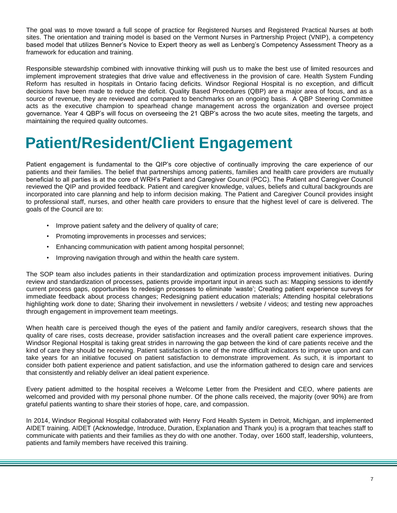The goal was to move toward a full scope of practice for Registered Nurses and Registered Practical Nurses at both sites. The orientation and training model is based on the Vermont Nurses in Partnership Project (VNIP), a competency based model that utilizes Benner's Novice to Expert theory as well as Lenberg's Competency Assessment Theory as a framework for education and training.

Responsible stewardship combined with innovative thinking will push us to make the best use of limited resources and implement improvement strategies that drive value and effectiveness in the provision of care. Health System Funding Reform has resulted in hospitals in Ontario facing deficits. Windsor Regional Hospital is no exception, and difficult decisions have been made to reduce the deficit. Quality Based Procedures (QBP) are a major area of focus, and as a source of revenue, they are reviewed and compared to benchmarks on an ongoing basis. A QBP Steering Committee acts as the executive champion to spearhead change management across the organization and oversee project governance. Year 4 QBP's will focus on overseeing the 21 QBP's across the two acute sites, meeting the targets, and maintaining the required quality outcomes.

# **Patient/Resident/Client Engagement**

Patient engagement is fundamental to the QIP's core objective of continually improving the care experience of our patients and their families. The belief that partnerships among patients, families and health care providers are mutually beneficial to all parties is at the core of WRH's Patient and Caregiver Council (PCC). The Patient and Caregiver Council reviewed the QIP and provided feedback. Patient and caregiver knowledge, values, beliefs and cultural backgrounds are incorporated into care planning and help to inform decision making. The Patient and Caregiver Council provides insight to professional staff, nurses, and other health care providers to ensure that the highest level of care is delivered. The goals of the Council are to:

- Improve patient safety and the delivery of quality of care;
- Promoting improvements in processes and services;
- Enhancing communication with patient among hospital personnel;
- Improving navigation through and within the health care system.

The SOP team also includes patients in their standardization and optimization process improvement initiatives. During review and standardization of processes, patients provide important input in areas such as: Mapping sessions to identify current process gaps, opportunities to redesign processes to eliminate 'waste'; Creating patient experience surveys for immediate feedback about process changes; Redesigning patient education materials; Attending hospital celebrations highlighting work done to date; Sharing their involvement in newsletters / website / videos; and testing new approaches through engagement in improvement team meetings.

When health care is perceived though the eyes of the patient and family and/or caregivers, research shows that the quality of care rises, costs decrease, provider satisfaction increases and the overall patient care experience improves. Windsor Regional Hospital is taking great strides in narrowing the gap between the kind of care patients receive and the kind of care they should be receiving. Patient satisfaction is one of the more difficult indicators to improve upon and can take years for an initiative focused on patient satisfaction to demonstrate improvement. As such, it is important to consider both patient experience and patient satisfaction, and use the information gathered to design care and services that consistently and reliably deliver an ideal patient experience.

Every patient admitted to the hospital receives a Welcome Letter from the President and CEO, where patients are welcomed and provided with my personal phone number. Of the phone calls received, the majority (over 90%) are from grateful patients wanting to share their stories of hope, care, and compassion.

In 2014, Windsor Regional Hospital collaborated with Henry Ford Health System in Detroit, Michigan, and implemented AIDET training. AIDET (Acknowledge, Introduce, Duration, Explanation and Thank you) is a program that teaches staff to communicate with patients and their families as they do with one another. Today, over 1600 staff, leadership, volunteers, patients and family members have received this training.